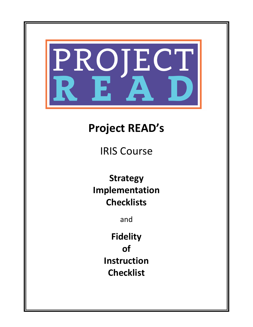

# **Project!READ's**

**IRIS Course** 

**Strategy Implementation Checklists**

and

**Fidelity! of Instruction Checklist**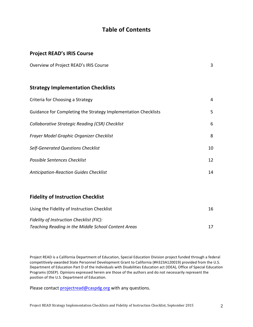# **Table of Contents**

## **Project READ's IRIS Course**

| Overview of Project READ's IRIS Course |  |
|----------------------------------------|--|
|----------------------------------------|--|

## **Strategy Implementation Checklists**

| Criteria for Choosing a Strategy                               | 4  |
|----------------------------------------------------------------|----|
| Guidance for Completing the Strategy Implementation Checklists | 5. |
| Collaborative Strategic Reading (CSR) Checklist                | 6  |
| Frayer Model Graphic Organizer Checklist                       | 8  |
| <b>Self-Generated Questions Checklist</b>                      | 10 |
| <b>Possible Sentences Checklist</b>                            | 12 |
| <b>Anticipation-Reaction Guides Checklist</b>                  | 14 |

## **Fidelity of Instruction Checklist**

| Using the Fidelity of Instruction Checklist         | 16. |
|-----------------------------------------------------|-----|
| Fidelity of Instruction Checklist (FIC):            |     |
| Teaching Reading in the Middle School Content Areas |     |

Project READ is a California Department of Education, Special Education Division project funded through a federal competitively-awarded State Personnel Development Grant to California (#H323A120019) provided from the U.S. Department of Education Part D of the Individuals with Disabilities Education act (IDEA), Office of Special Education Programs (OSEP). Opinions expressed herein are those of the authors and do not necessarily represent the position of the U.S. Department of Education.

Please contact projectread@caspdg.org with any questions.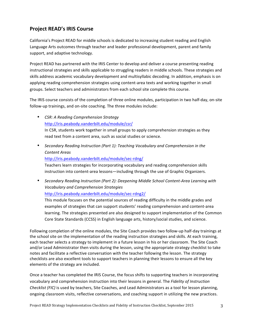## **Project READ's IRIS Course**

California's Project READ for middle schools is dedicated to increasing student reading and English Language Arts outcomes through teacher and leader professional development, parent and family support, and adaptive technology.

Project READ has partnered with the IRIS Center to develop and deliver a course presenting reading instructional strategies and skills applicable to struggling readers in middle schools. These strategies and skills address academic vocabulary development and multisyllabic decoding. In addition, emphasis is on applying reading comprehension strategies using content-area texts and working together in small groups. Select teachers and administrators from each school site complete this course.

The IRIS course consists of the completion of three online modules, participation in two half-day, on-site follow-up trainings, and on-site coaching. The three modules include:

- *CSR: A Reading Comprehension Strategy* http://iris.peabody.vanderbilt.edu/module/csr/ In CSR, students work together in small groups to apply comprehension strategies as they read text from a content area, such as social studies or science.
- Secondary Reading Instruction (Part 1): Teaching Vocabulary and Comprehension in the *Content+Areas*

http://iris.peabody.vanderbilt.edu/module/sec-rdng/

Teachers learn strategies for incorporating vocabulary and reading comprehension skills instruction into content-area lessons—including through the use of Graphic Organizers.

• Secondary Reading Instruction (Part 2): Deepening Middle School Content-Area Learning with *Vocabulary+and+Comprehension+Strategies* http://iris.peabody.vanderbilt.edu/module/sec-rdng2/

This module focuses on the potential sources of reading difficulty in the middle grades and

examples of strategies that can support students' reading comprehension and content-area learning. The strategies presented are also designed to support implementation of the Common Core State Standards (CCSS) in English language arts, history/social studies, and science.

Following completion of the online modules, the Site Coach provides two follow-up half-day trainings at the school site on the implementation of the reading instruction strategies and skills. At each training, each teacher selects a strategy to implement in a future lesson in his or her classroom. The Site Coach and/or Lead Administrator then visits during the lesson, using the appropriate strategy checklist to take notes and facilitate a reflective conversation with the teacher following the lesson. The strategy checklists are also excellent tools to support teachers in planning their lessons to ensure all the key elements of the strategy are included.

Once a teacher has completed the IRIS Course, the focus shifts to supporting teachers in incorporating vocabulary and comprehension instruction into their lessons in general. The *Fidelity of Instruction Checklist (FIC)* is used by teachers, Site Coaches, and Lead Administrators as a tool for lesson planning, ongoing classroom visits, reflective conversations, and coaching support in utilizing the new practices.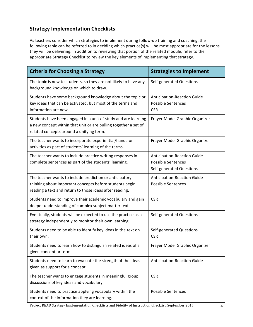# **Strategy Implementation Checklists**

As teachers consider which strategies to implement during follow-up training and coaching, the following table can be referred to in deciding which practice(s) will be most appropriate for the lessons they will be delivering. In addition to reviewing that portion of the related module, refer to the appropriate Strategy Checklist to review the key elements of implementing that strategy.

| <b>Criteria for Choosing a Strategy</b>                                                                                                                                       | <b>Strategies to Implement</b>                                                              |
|-------------------------------------------------------------------------------------------------------------------------------------------------------------------------------|---------------------------------------------------------------------------------------------|
| The topic is new to students, so they are not likely to have any<br>background knowledge on which to draw.                                                                    | Self-generated Questions                                                                    |
| Students have some background knowledge about the topic or<br>key ideas that can be activated, but most of the terms and<br>information are new.                              | Anticipation-Reaction Guide<br><b>Possible Sentences</b><br><b>CSR</b>                      |
| Students have been engaged in a unit of study and are learning<br>a new concept within that unit or are pulling together a set of<br>related concepts around a unifying term. | Frayer Model Graphic Organizer                                                              |
| The teacher wants to incorporate experiential/hands-on<br>activities as part of students' learning of the terms.                                                              | Frayer Model Graphic Organizer                                                              |
| The teacher wants to include practice writing responses in<br>complete sentences as part of the students' learning.                                                           | <b>Anticipation-Reaction Guide</b><br><b>Possible Sentences</b><br>Self-generated Questions |
| The teacher wants to include prediction or anticipatory<br>thinking about important concepts before students begin<br>reading a text and return to those ideas after reading. | <b>Anticipation-Reaction Guide</b><br><b>Possible Sentences</b>                             |
| Students need to improve their academic vocabulary and gain<br>deeper understanding of complex subject matter text.                                                           | <b>CSR</b>                                                                                  |
| Eventually, students will be expected to use the practice as a<br>strategy independently to monitor their own learning.                                                       | Self-generated Questions                                                                    |
| Students need to be able to identify key ideas in the text on<br>their own.                                                                                                   | Self-generated Questions<br><b>CSR</b>                                                      |
| Students need to learn how to distinguish related ideas of a<br>given concept or term.                                                                                        | Frayer Model Graphic Organizer                                                              |
| Students need to learn to evaluate the strength of the ideas<br>given as support for a concept.                                                                               | <b>Anticipation-Reaction Guide</b>                                                          |
| The teacher wants to engage students in meaningful group<br>discussions of key ideas and vocabulary.                                                                          | <b>CSR</b>                                                                                  |
| Students need to practice applying vocabulary within the<br>context of the information they are learning.                                                                     | <b>Possible Sentences</b>                                                                   |

Project READ Strategy Implementation Checklists and Fidelity of Instruction Checklist, September 2015 4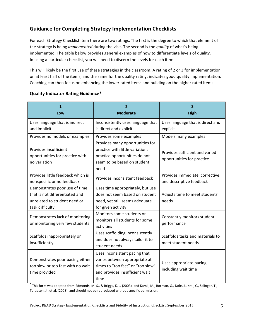# **Guidance for Completing Strategy Implementation Checklists**

For each Strategy Checklist item there are two ratings. The first is the degree to which that element of the strategy is being *implemented* during the visit. The second is the *quality* of what's being implemented. The table below provides general examples of how to differentiate levels of quality. In using a particular checklist, you will need to discern the levels for each item.

This will likely be the first use of these strategies in the classroom. A rating of 2 or 3 for implementation on at least half of the items, and the same for the quality rating, indicates good quality implementation. Coaching can then focus on enhancing the lower rated items and building on the higher rated items.

| 1<br>Low                                                                                                           | 2<br><b>Moderate</b>                                                                                                                          | 3<br><b>High</b>                                             |
|--------------------------------------------------------------------------------------------------------------------|-----------------------------------------------------------------------------------------------------------------------------------------------|--------------------------------------------------------------|
| Uses language that is indirect<br>and implicit                                                                     | Inconsistently uses language that<br>is direct and explicit                                                                                   | Uses language that is direct and<br>explicit                 |
| Provides no models or examples<br>Provides insufficient                                                            | Provides some examples<br>Provides many opportunities for<br>practice with little variation;                                                  | Models many examples                                         |
| opportunities for practice with<br>no variation                                                                    | practice opportunities do not<br>seem to be based on student<br>need                                                                          | Provides sufficient and varied<br>opportunities for practice |
| Provides little feedback which is<br>nonspecific or no feedback                                                    | Provides inconsistent feedback                                                                                                                | Provides immediate, corrective,<br>and descriptive feedback  |
| Demonstrates poor use of time<br>that is not differentiated and<br>unrelated to student need or<br>task difficulty | Uses time appropriately, but use<br>does not seem based on student<br>need, yet still seems adequate<br>for given activity                    | Adjusts time to meet students'<br>needs                      |
| Demonstrates lack of monitoring<br>or monitoring very few students                                                 | Monitors some students or<br>monitors all students for some<br>activities                                                                     | Constantly monitors student<br>performance                   |
| Scaffolds inappropriately or<br>insufficiently                                                                     | Uses scaffolding inconsistently<br>and does not always tailor it to<br>student needs                                                          | Scaffolds tasks and materials to<br>meet student needs       |
| Demonstrates poor pacing either<br>too slow or too fast with no wait<br>time provided                              | Uses inconsistent pacing that<br>varies between appropriate at<br>times to "too fast" or "too slow"<br>and provides insufficient wait<br>time | Uses appropriate pacing,<br>including wait time              |

#### **Quality Indicator Rating Guidance\***

This form was adapted from Edmonds, M. S., & Briggs, K. L. (2003), and Kamil, M., Borman, G., Dole, J., Kral, C., Salinger, T., Torgesen, J., et al. (2008), and should not be reproduced without specific permission.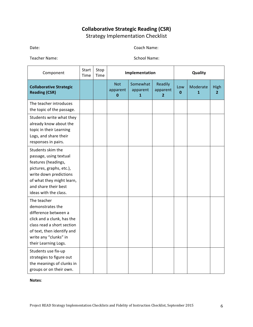# **Collaborative Strategic Reading (CSR)** Strategy Implementation Checklist

Date: Coach Name: Name: 2008. Coach Name: 2008. Coach Name: 2008. Coach Name: 2008. Coach Name: 2008. 2009. 2012. 2013. 2014. 2014. 2014. 2014. 2014. 2014. 2014. 2014. 2014. 2014. 2014. 2014. 2014. 2014. 2014. 2014. 2014.

Teacher Name: School Name: School Name:

| Component                                                                                                                                                                                                                                                                          | Start<br>Time | Stop<br>Time |                                       | Implementation            |                                       |                    | Quality                  |                        |
|------------------------------------------------------------------------------------------------------------------------------------------------------------------------------------------------------------------------------------------------------------------------------------|---------------|--------------|---------------------------------------|---------------------------|---------------------------------------|--------------------|--------------------------|------------------------|
| <b>Collaborative Strategic</b><br><b>Reading (CSR)</b>                                                                                                                                                                                                                             |               |              | <b>Not</b><br>apparent<br>$\mathbf 0$ | Somewhat<br>apparent<br>1 | Readily<br>apparent<br>$\overline{2}$ | Low<br>$\mathbf 0$ | Moderate<br>$\mathbf{1}$ | High<br>$\overline{2}$ |
| The teacher introduces<br>the topic of the passage.                                                                                                                                                                                                                                |               |              |                                       |                           |                                       |                    |                          |                        |
| Students write what they<br>already know about the<br>topic in their Learning<br>Logs, and share their<br>responses in pairs.                                                                                                                                                      |               |              |                                       |                           |                                       |                    |                          |                        |
| Students skim the<br>passage, using textual<br>features (headings,<br>pictures, graphs, etc.),<br>write down predictions<br>of what they might learn,<br>and share their best<br>ideas with the class.                                                                             |               |              |                                       |                           |                                       |                    |                          |                        |
| The teacher<br>demonstrates the<br>difference between a<br>click and a clunk, has the<br>class read a short section<br>of text, then identify and<br>write any "clunks" in<br>their Learning Logs.<br>Students use fix-up<br>strategies to figure out<br>the meanings of clunks in |               |              |                                       |                           |                                       |                    |                          |                        |
| groups or on their own.                                                                                                                                                                                                                                                            |               |              |                                       |                           |                                       |                    |                          |                        |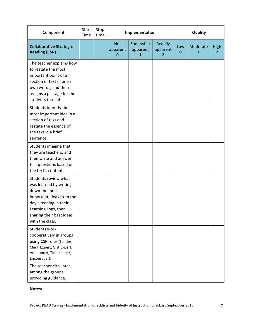| Component                                                                                                                                                                                   | Start<br>Time | Stop<br>Time |                             | Implementation                       |                                       |                     | Quality       |                        |
|---------------------------------------------------------------------------------------------------------------------------------------------------------------------------------------------|---------------|--------------|-----------------------------|--------------------------------------|---------------------------------------|---------------------|---------------|------------------------|
| <b>Collaborative Strategic</b><br><b>Reading (CSR)</b>                                                                                                                                      |               |              | <b>Not</b><br>apparent<br>0 | Somewhat<br>apparent<br>$\mathbf{1}$ | Readily<br>apparent<br>$\overline{2}$ | Low<br>$\mathbf{0}$ | Moderate<br>1 | High<br>$\overline{2}$ |
| The teacher explains how<br>to restate the most<br>important point of a<br>section of text in one's<br>own words, and then<br>assigns a passage for the<br>students to read.                |               |              |                             |                                      |                                       |                     |               |                        |
| Students identify the<br>most important idea in a<br>section of text and<br>restate the essence of<br>the text in a brief<br>sentence.                                                      |               |              |                             |                                      |                                       |                     |               |                        |
| Students imagine that<br>they are teachers, and<br>then write and answer<br>test questions based on<br>the text's content.                                                                  |               |              |                             |                                      |                                       |                     |               |                        |
| Students review what<br>was learned by writing<br>down the most<br>important ideas from the<br>day's reading in their<br>Learning Logs, then<br>sharing their best ideas<br>with the class. |               |              |                             |                                      |                                       |                     |               |                        |
| Students work<br>cooperatively in groups<br>using CSR roles (Leader,<br>Clunk Expert, Gist Expert,<br>Announcer, Timekeeper,<br>Encourager).                                                |               |              |                             |                                      |                                       |                     |               |                        |
| The teacher circulates<br>among the groups<br>providing guidance.                                                                                                                           |               |              |                             |                                      |                                       |                     |               |                        |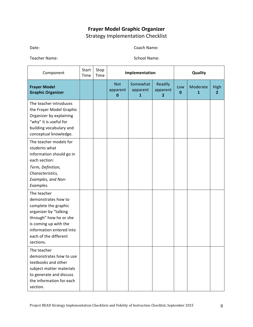# **Frayer!Model Graphic!Organizer** Strategy Implementation Checklist

Date: Coach Name: Name: 2008. Coach Name: 2008. Coach Name: 2008. Coach Name: 2008. Coach Name: 2008. 2009. 2012. 2013. 2014. 2014. 2014. 2014. 2014. 2014. 2014. 2014. 2014. 2014. 2014. 2014. 2014. 2014. 2014. 2014. 2014.

Teacher Name: School Name: School Name:

| Component                                                                                                                                                                                                | Start<br>Time | Stop<br>Time |                                    | Implementation            |                                     |          | Quality       |                               |
|----------------------------------------------------------------------------------------------------------------------------------------------------------------------------------------------------------|---------------|--------------|------------------------------------|---------------------------|-------------------------------------|----------|---------------|-------------------------------|
| <b>Frayer Model</b><br><b>Graphic Organizer</b>                                                                                                                                                          |               |              | <b>Not</b><br>apparent<br>$\bf{0}$ | Somewhat<br>apparent<br>1 | Readily<br>apparent<br>$\mathbf{2}$ | Low<br>0 | Moderate<br>1 | <b>High</b><br>$\overline{2}$ |
| The teacher introduces<br>the Frayer Model Graphic<br>Organizer by explaining<br>"why" it is useful for<br>building vocabulary and<br>conceptual knowledge.                                              |               |              |                                    |                           |                                     |          |               |                               |
| The teacher models for<br>students what<br>information should go in<br>each section:<br>Term, Definition,<br>Characteristics,<br>Examples, and Non-<br>Examples.                                         |               |              |                                    |                           |                                     |          |               |                               |
| The teacher<br>demonstrates how to<br>complete the graphic<br>organizer by "talking<br>through" how he or she<br>is coming up with the<br>information entered into<br>each of the different<br>sections. |               |              |                                    |                           |                                     |          |               |                               |
| The teacher<br>demonstrates how to use<br>textbooks and other<br>subject matter materials<br>to generate and discuss<br>the information for each<br>section.                                             |               |              |                                    |                           |                                     |          |               |                               |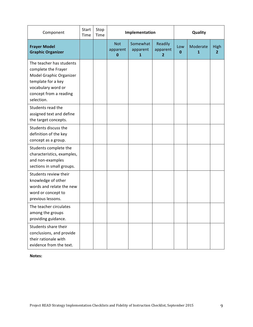| Component                                                                                                                                                      | Start<br>Time | Stop<br>Time |                                    | Implementation            |                                     |          | Quality                  |                               |
|----------------------------------------------------------------------------------------------------------------------------------------------------------------|---------------|--------------|------------------------------------|---------------------------|-------------------------------------|----------|--------------------------|-------------------------------|
| <b>Frayer Model</b><br><b>Graphic Organizer</b>                                                                                                                |               |              | <b>Not</b><br>apparent<br>$\bf{0}$ | Somewhat<br>apparent<br>1 | Readily<br>apparent<br>$\mathbf{2}$ | Low<br>0 | Moderate<br>$\mathbf{1}$ | <b>High</b><br>$\overline{2}$ |
| The teacher has students<br>complete the Frayer<br>Model Graphic Organizer<br>template for a key<br>vocabulary word or<br>concept from a reading<br>selection. |               |              |                                    |                           |                                     |          |                          |                               |
| Students read the<br>assigned text and define<br>the target concepts.                                                                                          |               |              |                                    |                           |                                     |          |                          |                               |
| Students discuss the<br>definition of the key<br>concept as a group.                                                                                           |               |              |                                    |                           |                                     |          |                          |                               |
| Students complete the<br>characteristics, examples,<br>and non-examples<br>sections in small groups.                                                           |               |              |                                    |                           |                                     |          |                          |                               |
| Students review their<br>knowledge of other<br>words and relate the new<br>word or concept to<br>previous lessons.                                             |               |              |                                    |                           |                                     |          |                          |                               |
| The teacher circulates<br>among the groups<br>providing guidance.                                                                                              |               |              |                                    |                           |                                     |          |                          |                               |
| Students share their<br>conclusions, and provide<br>their rationale with<br>evidence from the text.                                                            |               |              |                                    |                           |                                     |          |                          |                               |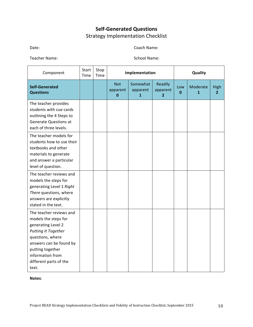# **Self-Generated Questions** Strategy Implementation Checklist

Date: Coach Name: Name: 2008. Coach Name: 2008. Coach Name: 2008. Coach Name: 2008. Coach Name: 2008. 2009. 2012. 2013. 2014. 2014. 2014. 2014. 2014. 2014. 2014. 2014. 2014. 2014. 2014. 2014. 2014. 2014. 2014. 2014. 2014.

Teacher Name: School Name: School Name:

| Component                                                                                                                                                                                                                     | <b>Start</b><br>Time | Stop<br>Time |                                    | Implementation            |                                       |                     | Quality                  |                               |
|-------------------------------------------------------------------------------------------------------------------------------------------------------------------------------------------------------------------------------|----------------------|--------------|------------------------------------|---------------------------|---------------------------------------|---------------------|--------------------------|-------------------------------|
| <b>Self-Generated</b><br><b>Questions</b>                                                                                                                                                                                     |                      |              | <b>Not</b><br>apparent<br>$\bf{0}$ | Somewhat<br>apparent<br>1 | Readily<br>apparent<br>$\overline{2}$ | Low<br>$\mathbf{0}$ | Moderate<br>$\mathbf{1}$ | <b>High</b><br>$\overline{2}$ |
| The teacher provides<br>students with cue cards<br>outlining the 4 Steps to<br><b>Generate Questions at</b><br>each of three levels.                                                                                          |                      |              |                                    |                           |                                       |                     |                          |                               |
| The teacher models for<br>students how to use their<br>textbooks and other<br>materials to generate<br>and answer a particular<br>level of question.                                                                          |                      |              |                                    |                           |                                       |                     |                          |                               |
| The teacher reviews and<br>models the steps for<br>generating Level 1 Right<br>There questions, where<br>answers are explicitly<br>stated in the text.                                                                        |                      |              |                                    |                           |                                       |                     |                          |                               |
| The teacher reviews and<br>models the steps for<br>generating Level 2<br><b>Putting It Together</b><br>questions, where<br>answers can be found by<br>putting together<br>information from<br>different parts of the<br>text. |                      |              |                                    |                           |                                       |                     |                          |                               |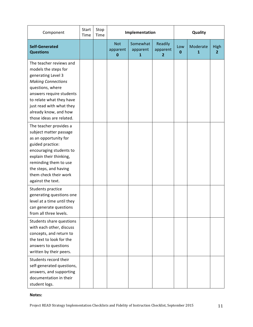| Component                                                                                                                                                                                                                                                       | Start<br>Time | Stop<br>Time |                             | Implementation                       |                                       |          | Quality       |                               |
|-----------------------------------------------------------------------------------------------------------------------------------------------------------------------------------------------------------------------------------------------------------------|---------------|--------------|-----------------------------|--------------------------------------|---------------------------------------|----------|---------------|-------------------------------|
| <b>Self-Generated</b><br><b>Questions</b>                                                                                                                                                                                                                       |               |              | <b>Not</b><br>apparent<br>0 | Somewhat<br>apparent<br>$\mathbf{1}$ | Readily<br>apparent<br>$\overline{2}$ | Low<br>0 | Moderate<br>1 | <b>High</b><br>$\overline{2}$ |
| The teacher reviews and<br>models the steps for<br>generating Level 3<br><b>Making Connections</b><br>questions, where<br>answers require students<br>to relate what they have<br>just read with what they<br>already know, and how<br>those ideas are related. |               |              |                             |                                      |                                       |          |               |                               |
| The teacher provides a<br>subject matter passage<br>as an opportunity for<br>guided practice:<br>encouraging students to<br>explain their thinking,<br>reminding them to use<br>the steps, and having<br>them check their work<br>against the text.             |               |              |                             |                                      |                                       |          |               |                               |
| Students practice<br>generating questions one<br>level at a time until they<br>can generate questions<br>from all three levels.                                                                                                                                 |               |              |                             |                                      |                                       |          |               |                               |
| Students share questions<br>with each other, discuss<br>concepts, and return to<br>the text to look for the<br>answers to questions<br>written by their peers.                                                                                                  |               |              |                             |                                      |                                       |          |               |                               |
| Students record their<br>self-generated questions,<br>answers, and supporting<br>documentation in their<br>student logs.                                                                                                                                        |               |              |                             |                                      |                                       |          |               |                               |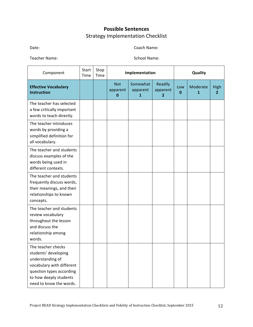# **Possible Sentences** Strategy Implementation Checklist

Date: Coach Name: Name: 2008. Coach Name: 2008. Coach Name: 2008. Coach Name: 2008. Coach Name: 2008. 2009. 2012. 2013. 2014. 2014. 2014. 2014. 2014. 2014. 2014. 2014. 2014. 2014. 2014. 2014. 2014. 2014. 2014. 2014. 2014.

Teacher Name: School Name: School Name:

| Component                                                                                                                                                                    | Start<br>Time | Stop<br>Time |                             | Implementation            |                          |                    | Quality       |                               |
|------------------------------------------------------------------------------------------------------------------------------------------------------------------------------|---------------|--------------|-----------------------------|---------------------------|--------------------------|--------------------|---------------|-------------------------------|
| <b>Effective Vocabulary</b><br><b>Instruction</b>                                                                                                                            |               |              | <b>Not</b><br>apparent<br>0 | Somewhat<br>apparent<br>1 | Readily<br>apparent<br>2 | Low<br>$\mathbf 0$ | Moderate<br>1 | <b>High</b><br>$\overline{2}$ |
| The teacher has selected<br>a few critically important<br>words to teach directly.                                                                                           |               |              |                             |                           |                          |                    |               |                               |
| The teacher introduces<br>words by providing a<br>simplified definition for<br>all vocabulary.                                                                               |               |              |                             |                           |                          |                    |               |                               |
| The teacher and students<br>discuss examples of the<br>words being used in<br>different contexts.                                                                            |               |              |                             |                           |                          |                    |               |                               |
| The teacher and students<br>frequently discuss words,<br>their meanings, and their<br>relationships to known<br>concepts.                                                    |               |              |                             |                           |                          |                    |               |                               |
| The teacher and students<br>review vocabulary<br>throughout the lesson<br>and discuss the<br>relationship among<br>words.                                                    |               |              |                             |                           |                          |                    |               |                               |
| The teacher checks<br>students' developing<br>understanding of<br>vocabulary with different<br>question types according<br>to how deeply students<br>need to know the words. |               |              |                             |                           |                          |                    |               |                               |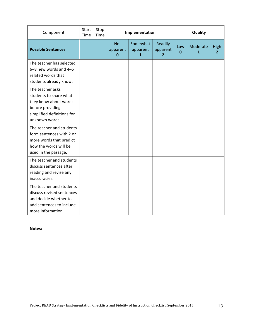| Component                                                                                                                               | Start<br>Time | Stop<br>Time | Implementation                     |                                      |                                       |          | Quality       |                               |  |
|-----------------------------------------------------------------------------------------------------------------------------------------|---------------|--------------|------------------------------------|--------------------------------------|---------------------------------------|----------|---------------|-------------------------------|--|
| <b>Possible Sentences</b>                                                                                                               |               |              | <b>Not</b><br>apparent<br>$\bf{0}$ | Somewhat<br>apparent<br>$\mathbf{1}$ | Readily<br>apparent<br>$\overline{2}$ | Low<br>0 | Moderate<br>1 | <b>High</b><br>$\overline{2}$ |  |
| The teacher has selected<br>6-8 new words and 4-6<br>related words that<br>students already know.                                       |               |              |                                    |                                      |                                       |          |               |                               |  |
| The teacher asks<br>students to share what<br>they know about words<br>before providing<br>simplified definitions for<br>unknown words. |               |              |                                    |                                      |                                       |          |               |                               |  |
| The teacher and students<br>form sentences with 2 or<br>more words that predict<br>how the words will be<br>used in the passage.        |               |              |                                    |                                      |                                       |          |               |                               |  |
| The teacher and students<br>discuss sentences after<br>reading and revise any<br>inaccuracies.                                          |               |              |                                    |                                      |                                       |          |               |                               |  |
| The teacher and students<br>discuss revised sentences<br>and decide whether to<br>add sentences to include<br>more information.         |               |              |                                    |                                      |                                       |          |               |                               |  |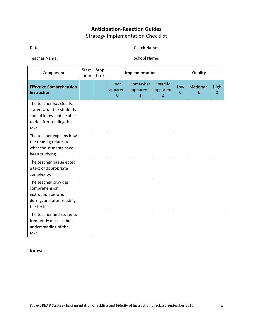# **Anticipation-Reaction Guides** Strategy Implementation Checklist

Date: Coach Name: Name: 2008. Coach Name: 2008. Coach Name: 2008. Coach Name: 2008. Coach Name: 2008. 2009. 2012. 2013. 2014. 2014. 2014. 2014. 2014. 2014. 2014. 2014. 2014. 2014. 2014. 2014. 2014. 2014. 2014. 2014. 2014.

Teacher Name: School Name: School Name:

| Component                                                                                                          | Start<br>Time | Stop<br>Time | Implementation                     |                           |                                       |          | Quality       |                        |  |
|--------------------------------------------------------------------------------------------------------------------|---------------|--------------|------------------------------------|---------------------------|---------------------------------------|----------|---------------|------------------------|--|
| <b>Effective Comprehension</b><br><b>Instruction</b>                                                               |               |              | <b>Not</b><br>apparent<br>$\bf{0}$ | Somewhat<br>apparent<br>1 | Readily<br>apparent<br>$\overline{2}$ | Low<br>0 | Moderate<br>1 | High<br>$\overline{2}$ |  |
| The teacher has clearly<br>stated what the students<br>should know and be able<br>to do after reading the<br>text. |               |              |                                    |                           |                                       |          |               |                        |  |
| The teacher explains how<br>the reading relates to<br>what the students have<br>been studying.                     |               |              |                                    |                           |                                       |          |               |                        |  |
| The teacher has selected<br>a text of appropriate<br>complexity.                                                   |               |              |                                    |                           |                                       |          |               |                        |  |
| The teacher provides<br>comprehension<br>instruction before,<br>during, and after reading<br>the text.             |               |              |                                    |                           |                                       |          |               |                        |  |
| The teacher and students<br>frequently discuss their<br>understanding of the<br>text.                              |               |              |                                    |                           |                                       |          |               |                        |  |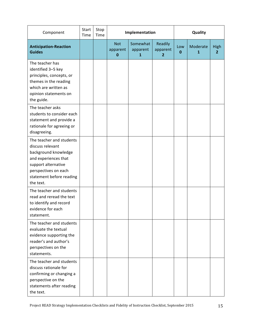| Component                                                                                                                                                                            | Start<br>Time | Stop<br>Time | Implementation                     |                                      |                                       |          | Quality       |                        |  |
|--------------------------------------------------------------------------------------------------------------------------------------------------------------------------------------|---------------|--------------|------------------------------------|--------------------------------------|---------------------------------------|----------|---------------|------------------------|--|
| <b>Anticipation-Reaction</b><br><b>Guides</b>                                                                                                                                        |               |              | <b>Not</b><br>apparent<br>$\bf{0}$ | Somewhat<br>apparent<br>$\mathbf{1}$ | Readily<br>apparent<br>$\overline{2}$ | Low<br>0 | Moderate<br>1 | High<br>$\overline{2}$ |  |
| The teacher has<br>identified 3-5 key<br>principles, concepts, or<br>themes in the reading<br>which are written as<br>opinion statements on<br>the guide.                            |               |              |                                    |                                      |                                       |          |               |                        |  |
| The teacher asks<br>students to consider each<br>statement and provide a<br>rationale for agreeing or<br>disagreeing.                                                                |               |              |                                    |                                      |                                       |          |               |                        |  |
| The teacher and students<br>discuss relevant<br>background knowledge<br>and experiences that<br>support alternative<br>perspectives on each<br>statement before reading<br>the text. |               |              |                                    |                                      |                                       |          |               |                        |  |
| The teacher and students<br>read and reread the text<br>to identify and record<br>evidence for each<br>statement.                                                                    |               |              |                                    |                                      |                                       |          |               |                        |  |
| The teacher and students<br>evaluate the textual<br>evidence supporting the<br>reader's and author's<br>perspectives on the<br>statements.                                           |               |              |                                    |                                      |                                       |          |               |                        |  |
| The teacher and students<br>discuss rationale for<br>confirming or changing a<br>perspective on the<br>statements after reading<br>the text.                                         |               |              |                                    |                                      |                                       |          |               |                        |  |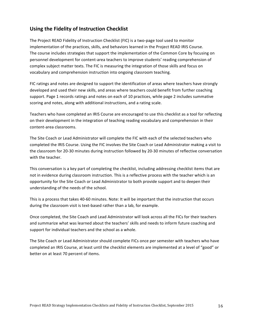## **Using the Fidelity of Instruction Checklist**

The Project READ Fidelity of Instruction Checklist (FIC) is a two-page tool used to monitor implementation of the practices, skills, and behaviors learned in the Project READ IRIS Course. The course includes strategies that support the implementation of the Common Core by focusing on personnel development for content-area teachers to improve students' reading comprehension of complex subject matter texts. The FIC is measuring the integration of those skills and focus on vocabulary and comprehension instruction into ongoing classroom teaching.

FIC ratings and notes are designed to support the identification of areas where teachers have strongly developed and used their new skills, and areas where teachers could benefit from further coaching support. Page 1 records ratings and notes on each of 10 practices, while page 2 includes summative scoring and notes, along with additional instructions, and a rating scale.

Teachers who have completed an IRIS Course are encouraged to use this checklist as a tool for reflecting on their development in the integration of teaching reading vocabulary and comprehension in their content-area classrooms.

The Site Coach or Lead Administrator will complete the FIC with each of the selected teachers who completed the IRIS Course. Using the FIC involves the Site Coach or Lead Administrator making a visit to the classroom for 20-30 minutes during instruction followed by 20-30 minutes of reflective conversation with the teacher.

This conversation is a key part of completing the checklist, including addressing checklist items that are not in evidence during classroom instruction. This is a reflective process with the teacher which is an opportunity for the Site Coach or Lead Administrator to both provide support and to deepen their understanding of the needs of the school.

This is a process that takes 40-60 minutes. Note: It will be important that the instruction that occurs during the classroom visit is text-based rather than a lab, for example.

Once completed, the Site Coach and Lead Administrator will look across all the FICs for their teachers and summarize what was learned about the teachers' skills and needs to inform future coaching and support for individual teachers and the school as a whole.

The Site Coach or Lead Administrator should complete FICs once per semester with teachers who have completed an IRIS Course, at least until the checklist elements are implemented at a level of "good" or better on at least 70 percent of items.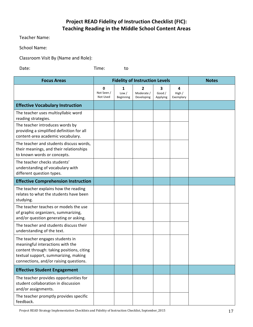# **Project READ Fidelity of Instruction Checklist (FIC): Teaching Reading in the Middle School Content Areas**

Teacher Name:

School Name:

Classroom Visit By (Name and Role):

Date: ' ' Time: to

| <b>Focus Areas</b>                                                                                                                                                                                 |                             | <b>Fidelity of Instruction Levels</b> | <b>Notes</b>                  |                         |                          |  |
|----------------------------------------------------------------------------------------------------------------------------------------------------------------------------------------------------|-----------------------------|---------------------------------------|-------------------------------|-------------------------|--------------------------|--|
|                                                                                                                                                                                                    | 0<br>Not Seen /<br>Not Used | 1<br>Low /<br>Beginning               | 2<br>Moderate /<br>Developing | 3<br>Good /<br>Applying | 4<br>High /<br>Exemplary |  |
| <b>Effective Vocabulary Instruction</b>                                                                                                                                                            |                             |                                       |                               |                         |                          |  |
| The teacher uses multisyllabic word<br>reading strategies.                                                                                                                                         |                             |                                       |                               |                         |                          |  |
| The teacher introduces words by<br>providing a simplified definition for all<br>content-area academic vocabulary.                                                                                  |                             |                                       |                               |                         |                          |  |
| The teacher and students discuss words,<br>their meanings, and their relationships<br>to known words or concepts.                                                                                  |                             |                                       |                               |                         |                          |  |
| The teacher checks students'<br>understanding of vocabulary with<br>different question types.                                                                                                      |                             |                                       |                               |                         |                          |  |
| <b>Effective Comprehension Instruction</b>                                                                                                                                                         |                             |                                       |                               |                         |                          |  |
| The teacher explains how the reading<br>relates to what the students have been<br>studying.                                                                                                        |                             |                                       |                               |                         |                          |  |
| The teacher teaches or models the use<br>of graphic organizers, summarizing,<br>and/or question generating or asking.                                                                              |                             |                                       |                               |                         |                          |  |
| The teacher and students discuss their<br>understanding of the text.                                                                                                                               |                             |                                       |                               |                         |                          |  |
| The teacher engages students in<br>meaningful interactions with the<br>content through: taking positions, citing<br>textual support, summarizing, making<br>connections, and/or raising questions. |                             |                                       |                               |                         |                          |  |
| <b>Effective Student Engagement</b>                                                                                                                                                                |                             |                                       |                               |                         |                          |  |
| The teacher provides opportunities for<br>student collaboration in discussion<br>and/or assignments.                                                                                               |                             |                                       |                               |                         |                          |  |
| The teacher promptly provides specific<br>feedback.                                                                                                                                                |                             |                                       |                               |                         |                          |  |